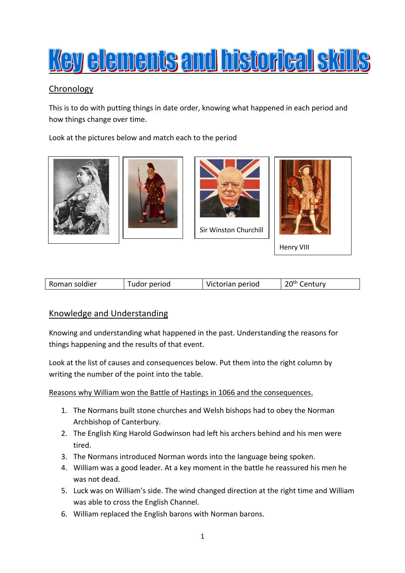

# Chronology

This is to do with putting things in date order, knowing what happened in each period and how things change over time.

Look at the pictures below and match each to the period







Sir Winston Churchill



| Roman soldier | udor period | Victorian period | <sup>ንባth</sup> Century |
|---------------|-------------|------------------|-------------------------|
|---------------|-------------|------------------|-------------------------|

# Knowledge and Understanding

Knowing and understanding what happened in the past. Understanding the reasons for things happening and the results of that event.

Look at the list of causes and consequences below. Put them into the right column by writing the number of the point into the table.

Reasons why William won the Battle of Hastings in 1066 and the consequences.

- 1. The Normans built stone churches and Welsh bishops had to obey the Norman Archbishop of Canterbury.
- 2. The English King Harold Godwinson had left his archers behind and his men were tired.
- 3. The Normans introduced Norman words into the language being spoken.
- 4. William was a good leader. At a key moment in the battle he reassured his men he was not dead.
- 5. Luck was on William's side. The wind changed direction at the right time and William was able to cross the English Channel.
- 6. William replaced the English barons with Norman barons.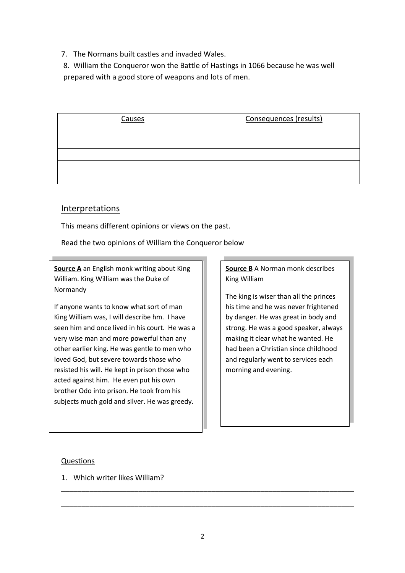7. The Normans built castles and invaded Wales.

8. William the Conqueror won the Battle of Hastings in 1066 because he was well prepared with a good store of weapons and lots of men.

| Causes | Consequences (results) |
|--------|------------------------|
|        |                        |
|        |                        |
|        |                        |
|        |                        |
|        |                        |

# Interpretations

This means different opinions or views on the past.

Read the two opinions of William the Conqueror below

**Source A** an English monk writing about King William. King William was the Duke of Normandy

If anyone wants to know what sort of man King William was, I will describe hm. I have seen him and once lived in his court. He was a very wise man and more powerful than any other earlier king. He was gentle to men who loved God, but severe towards those who resisted his will. He kept in prison those who acted against him. He even put his own brother Odo into prison. He took from his subjects much gold and silver. He was greedy.

# **Source B** A Norman monk describes King William

The king is wiser than all the princes his time and he was never frightened by danger. He was great in body and strong. He was a good speaker, always making it clear what he wanted. He had been a Christian since childhood and regularly went to services each morning and evening.

#### Questions

1. Which writer likes William?

\_\_\_\_\_\_\_\_\_\_\_\_\_\_\_\_\_\_\_\_\_\_\_\_\_\_\_\_\_\_\_\_\_\_\_\_\_\_\_\_\_\_\_\_\_\_\_\_\_\_\_\_\_\_\_\_\_\_\_\_\_\_\_\_\_\_\_\_\_\_\_\_

\_\_\_\_\_\_\_\_\_\_\_\_\_\_\_\_\_\_\_\_\_\_\_\_\_\_\_\_\_\_\_\_\_\_\_\_\_\_\_\_\_\_\_\_\_\_\_\_\_\_\_\_\_\_\_\_\_\_\_\_\_\_\_\_\_\_\_\_\_\_\_\_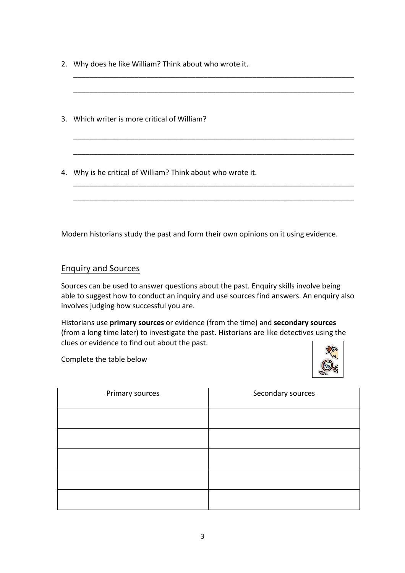- 2. Why does he like William? Think about who wrote it.
- 3. Which writer is more critical of William?
- 4. Why is he critical of William? Think about who wrote it.

Modern historians study the past and form their own opinions on it using evidence.

\_\_\_\_\_\_\_\_\_\_\_\_\_\_\_\_\_\_\_\_\_\_\_\_\_\_\_\_\_\_\_\_\_\_\_\_\_\_\_\_\_\_\_\_\_\_\_\_\_\_\_\_\_\_\_\_\_\_\_\_\_\_\_\_\_\_\_\_\_

\_\_\_\_\_\_\_\_\_\_\_\_\_\_\_\_\_\_\_\_\_\_\_\_\_\_\_\_\_\_\_\_\_\_\_\_\_\_\_\_\_\_\_\_\_\_\_\_\_\_\_\_\_\_\_\_\_\_\_\_\_\_\_\_\_\_\_\_\_

\_\_\_\_\_\_\_\_\_\_\_\_\_\_\_\_\_\_\_\_\_\_\_\_\_\_\_\_\_\_\_\_\_\_\_\_\_\_\_\_\_\_\_\_\_\_\_\_\_\_\_\_\_\_\_\_\_\_\_\_\_\_\_\_\_\_\_\_\_

\_\_\_\_\_\_\_\_\_\_\_\_\_\_\_\_\_\_\_\_\_\_\_\_\_\_\_\_\_\_\_\_\_\_\_\_\_\_\_\_\_\_\_\_\_\_\_\_\_\_\_\_\_\_\_\_\_\_\_\_\_\_\_\_\_\_\_\_\_

\_\_\_\_\_\_\_\_\_\_\_\_\_\_\_\_\_\_\_\_\_\_\_\_\_\_\_\_\_\_\_\_\_\_\_\_\_\_\_\_\_\_\_\_\_\_\_\_\_\_\_\_\_\_\_\_\_\_\_\_\_\_\_\_\_\_\_\_\_

\_\_\_\_\_\_\_\_\_\_\_\_\_\_\_\_\_\_\_\_\_\_\_\_\_\_\_\_\_\_\_\_\_\_\_\_\_\_\_\_\_\_\_\_\_\_\_\_\_\_\_\_\_\_\_\_\_\_\_\_\_\_\_\_\_\_\_\_\_

# Enquiry and Sources

Sources can be used to answer questions about the past. Enquiry skills involve being able to suggest how to conduct an inquiry and use sources find answers. An enquiry also involves judging how successful you are.

Historians use **primary sources** or evidence (from the time) and **secondary sources** (from a long time later) to investigate the past. Historians are like detectives using the clues or evidence to find out about the past.

Complete the table below



| <b>Primary sources</b> | Secondary sources |
|------------------------|-------------------|
|                        |                   |
|                        |                   |
|                        |                   |
|                        |                   |
|                        |                   |